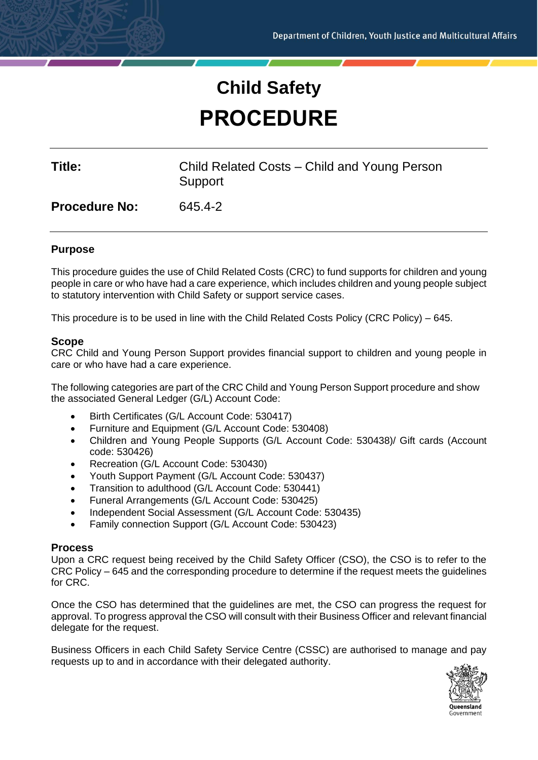# **Child Safety PROCEDURE**

| Title:               | Child Related Costs – Child and Young Person<br>Support |
|----------------------|---------------------------------------------------------|
| <b>Procedure No:</b> | 645.4-2                                                 |
|                      |                                                         |

# **Purpose**

This procedure guides the use of Child Related Costs (CRC) to fund supports for children and young people in care or who have had a care experience, which includes children and young people subject to statutory intervention with Child Safety or support service cases.

This procedure is to be used in line with the Child Related Costs Policy (CRC Policy) – 645.

# **Scope**

CRC Child and Young Person Support provides financial support to children and young people in care or who have had a care experience.

The following categories are part of the CRC Child and Young Person Support procedure and show the associated General Ledger (G/L) Account Code:

- Birth Certificates (G/L Account Code: 530417)
- Furniture and Equipment (G/L Account Code: 530408)
- Children and Young People Supports (G/L Account Code: 530438)/ Gift cards (Account code: 530426)
- Recreation (G/L Account Code: 530430)
- Youth Support Payment (G/L Account Code: 530437)
- Transition to adulthood (G/L Account Code: 530441)
- Funeral Arrangements (G/L Account Code: 530425)
- Independent Social Assessment (G/L Account Code: 530435)
- Family connection Support (G/L Account Code: 530423)

# **Process**

Upon a CRC request being received by the Child Safety Officer (CSO), the CSO is to refer to the CRC Policy – 645 and the corresponding procedure to determine if the request meets the guidelines for CRC.

Once the CSO has determined that the guidelines are met, the CSO can progress the request for approval. To progress approval the CSO will consult with their Business Officer and relevant financial delegate for the request.

Business Officers in each Child Safety Service Centre (CSSC) are authorised to manage and pay requests up to and in accordance with their delegated authority.

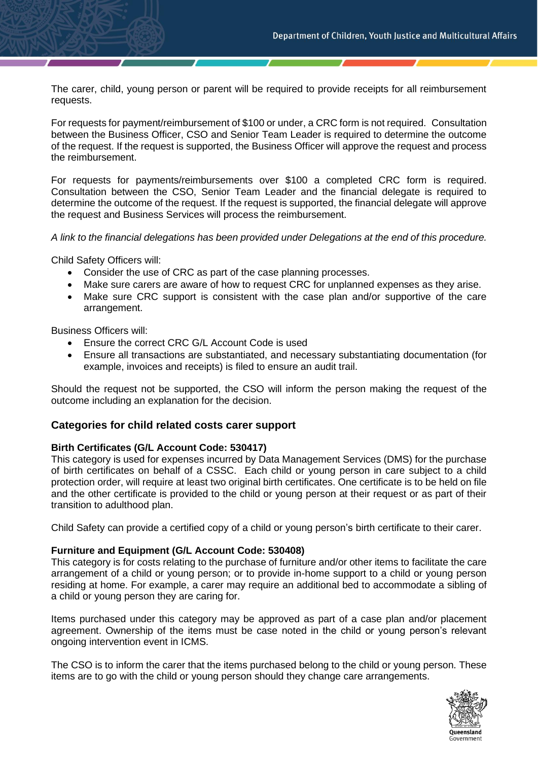The carer, child, young person or parent will be required to provide receipts for all reimbursement requests.

For requests for payment/reimbursement of \$100 or under, a CRC form is not required. Consultation between the Business Officer, CSO and Senior Team Leader is required to determine the outcome of the request. If the request is supported, the Business Officer will approve the request and process the reimbursement.

For requests for payments/reimbursements over \$100 a completed CRC form is required. Consultation between the CSO, Senior Team Leader and the financial delegate is required to determine the outcome of the request. If the request is supported, the financial delegate will approve the request and Business Services will process the reimbursement.

*A link to the financial delegations has been provided under Delegations at the end of this procedure.*

Child Safety Officers will:

- Consider the use of CRC as part of the case planning processes.
- Make sure carers are aware of how to request CRC for unplanned expenses as they arise.
- Make sure CRC support is consistent with the case plan and/or supportive of the care arrangement.

Business Officers will:

- Ensure the correct CRC G/L Account Code is used
- Ensure all transactions are substantiated, and necessary substantiating documentation (for example, invoices and receipts) is filed to ensure an audit trail.

Should the request not be supported, the CSO will inform the person making the request of the outcome including an explanation for the decision.

#### **Categories for child related costs carer support**

#### **Birth Certificates (G/L Account Code: 530417)**

This category is used for expenses incurred by Data Management Services (DMS) for the purchase of birth certificates on behalf of a CSSC. Each child or young person in care subject to a child protection order, will require at least two original birth certificates. One certificate is to be held on file and the other certificate is provided to the child or young person at their request or as part of their transition to adulthood plan.

Child Safety can provide a certified copy of a child or young person's birth certificate to their carer.

#### **Furniture and Equipment (G/L Account Code: 530408)**

This category is for costs relating to the purchase of furniture and/or other items to facilitate the care arrangement of a child or young person; or to provide in-home support to a child or young person residing at home. For example, a carer may require an additional bed to accommodate a sibling of a child or young person they are caring for.

Items purchased under this category may be approved as part of a case plan and/or placement agreement. Ownership of the items must be case noted in the child or young person's relevant ongoing intervention event in ICMS.

The CSO is to inform the carer that the items purchased belong to the child or young person. These items are to go with the child or young person should they change care arrangements.

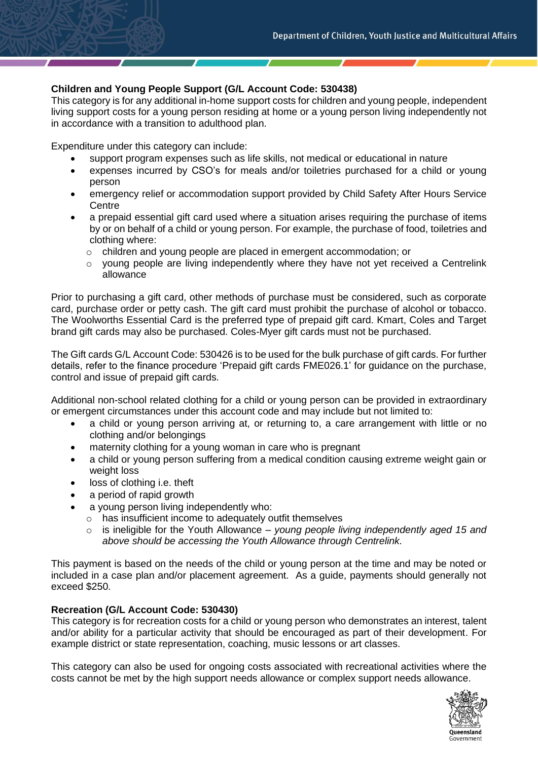# **Children and Young People Support (G/L Account Code: 530438)**

This category is for any additional in-home support costs for children and young people, independent living support costs for a young person residing at home or a young person living independently not in accordance with a transition to adulthood plan.

Expenditure under this category can include:

- support program expenses such as life skills, not medical or educational in nature
- expenses incurred by CSO's for meals and/or toiletries purchased for a child or young person
- emergency relief or accommodation support provided by Child Safety After Hours Service **Centre**
- a prepaid essential gift card used where a situation arises requiring the purchase of items by or on behalf of a child or young person. For example, the purchase of food, toiletries and clothing where:
	- o children and young people are placed in emergent accommodation; or
	- $\circ$  young people are living independently where they have not yet received a Centrelink allowance

Prior to purchasing a gift card, other methods of purchase must be considered, such as corporate card, purchase order or petty cash. The gift card must prohibit the purchase of alcohol or tobacco. The Woolworths Essential Card is the preferred type of prepaid gift card. Kmart, Coles and Target brand gift cards may also be purchased. Coles-Myer gift cards must not be purchased.

The Gift cards G/L Account Code: 530426 is to be used for the bulk purchase of gift cards. For further details, refer to the finance procedure 'Prepaid gift cards FME026.1' for guidance on the purchase, control and issue of prepaid gift cards.

Additional non-school related clothing for a child or young person can be provided in extraordinary or emergent circumstances under this account code and may include but not limited to:

- a child or young person arriving at, or returning to, a care arrangement with little or no clothing and/or belongings
- maternity clothing for a young woman in care who is pregnant
- a child or young person suffering from a medical condition causing extreme weight gain or weight loss
- loss of clothing *i.e.* theft
- a period of rapid growth
- a young person living independently who:
	- o has insufficient income to adequately outfit themselves
		- o is ineligible for the Youth Allowance *– young people living independently aged 15 and above should be accessing the Youth Allowance through Centrelink.*

This payment is based on the needs of the child or young person at the time and may be noted or included in a case plan and/or placement agreement. As a guide, payments should generally not exceed \$250.

# **Recreation (G/L Account Code: 530430)**

This category is for recreation costs for a child or young person who demonstrates an interest, talent and/or ability for a particular activity that should be encouraged as part of their development. For example district or state representation, coaching, music lessons or art classes.

This category can also be used for ongoing costs associated with recreational activities where the costs cannot be met by the high support needs allowance or complex support needs allowance.

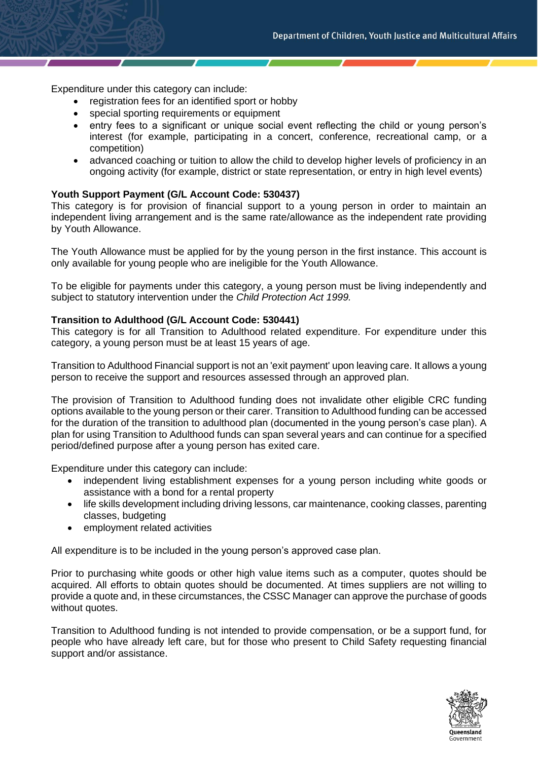Expenditure under this category can include:

- registration fees for an identified sport or hobby
- special sporting requirements or equipment
- entry fees to a significant or unique social event reflecting the child or young person's interest (for example, participating in a concert, conference, recreational camp, or a competition)
- advanced coaching or tuition to allow the child to develop higher levels of proficiency in an ongoing activity (for example, district or state representation, or entry in high level events)

#### **Youth Support Payment (G/L Account Code: 530437)**

This category is for provision of financial support to a young person in order to maintain an independent living arrangement and is the same rate/allowance as the independent rate providing by Youth Allowance.

The Youth Allowance must be applied for by the young person in the first instance. This account is only available for young people who are ineligible for the Youth Allowance.

To be eligible for payments under this category, a young person must be living independently and subject to statutory intervention under the *Child Protection Act 1999.*

#### **Transition to Adulthood (G/L Account Code: 530441)**

This category is for all Transition to Adulthood related expenditure. For expenditure under this category, a young person must be at least 15 years of age.

Transition to Adulthood Financial support is not an 'exit payment' upon leaving care. It allows a young person to receive the support and resources assessed through an approved plan.

The provision of Transition to Adulthood funding does not invalidate other eligible CRC funding options available to the young person or their carer. Transition to Adulthood funding can be accessed for the duration of the transition to adulthood plan (documented in the young person's case plan). A plan for using Transition to Adulthood funds can span several years and can continue for a specified period/defined purpose after a young person has exited care.

Expenditure under this category can include:

- independent living establishment expenses for a young person including white goods or assistance with a bond for a rental property
- life skills development including driving lessons, car maintenance, cooking classes, parenting classes, budgeting
- employment related activities

All expenditure is to be included in the young person's approved case plan.

Prior to purchasing white goods or other high value items such as a computer, quotes should be acquired. All efforts to obtain quotes should be documented. At times suppliers are not willing to provide a quote and, in these circumstances, the CSSC Manager can approve the purchase of goods without quotes.

Transition to Adulthood funding is not intended to provide compensation, or be a support fund, for people who have already left care, but for those who present to Child Safety requesting financial support and/or assistance.

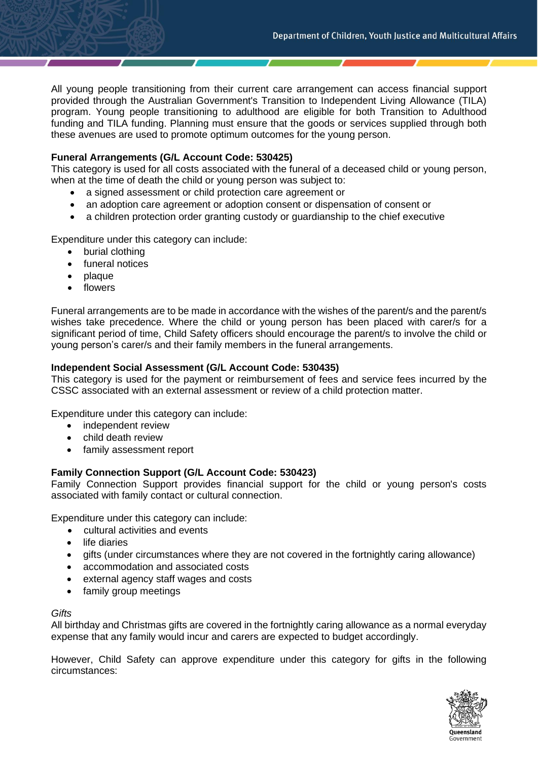All young people transitioning from their current care arrangement can access financial support provided through the Australian Government's Transition to Independent Living Allowance (TILA) program. Young people transitioning to adulthood are eligible for both Transition to Adulthood funding and TILA funding. Planning must ensure that the goods or services supplied through both these avenues are used to promote optimum outcomes for the young person.

# **Funeral Arrangements (G/L Account Code: 530425)**

This category is used for all costs associated with the funeral of a deceased child or young person, when at the time of death the child or young person was subject to:

- a signed assessment or child protection care agreement or
- an adoption care agreement or adoption consent or dispensation of consent or
- a children protection order granting custody or guardianship to the chief executive

Expenditure under this category can include:

- burial clothing
- funeral notices
- plaque
- flowers

Funeral arrangements are to be made in accordance with the wishes of the parent/s and the parent/s wishes take precedence. Where the child or young person has been placed with carer/s for a significant period of time, Child Safety officers should encourage the parent/s to involve the child or young person's carer/s and their family members in the funeral arrangements.

#### **Independent Social Assessment (G/L Account Code: 530435)**

This category is used for the payment or reimbursement of fees and service fees incurred by the CSSC associated with an external assessment or review of a child protection matter.

Expenditure under this category can include:

- independent review
- child death review
- family assessment report

# **Family Connection Support (G/L Account Code: 530423)**

Family Connection Support provides financial support for the child or young person's costs associated with family contact or cultural connection.

Expenditure under this category can include:

- cultural activities and events
- life diaries
- gifts (under circumstances where they are not covered in the fortnightly caring allowance)
- accommodation and associated costs
- external agency staff wages and costs
- family group meetings

#### *Gifts*

All birthday and Christmas gifts are covered in the fortnightly caring allowance as a normal everyday expense that any family would incur and carers are expected to budget accordingly.

However, Child Safety can approve expenditure under this category for gifts in the following circumstances:

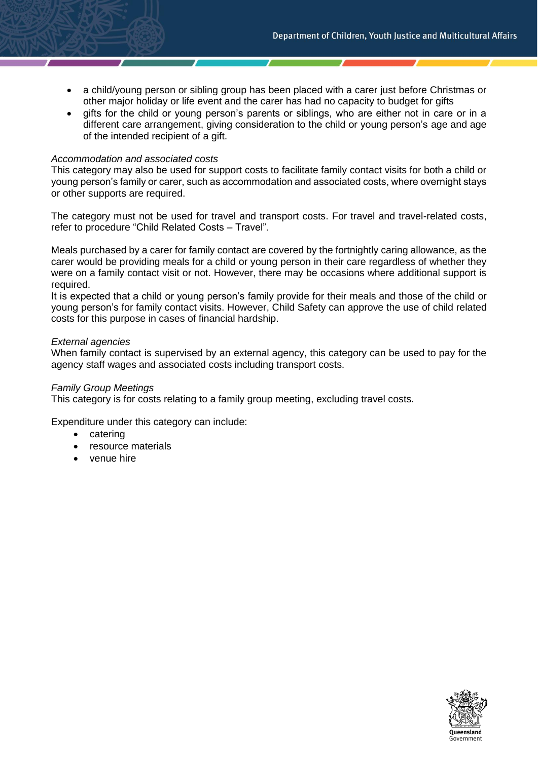- a child/young person or sibling group has been placed with a carer just before Christmas or other major holiday or life event and the carer has had no capacity to budget for gifts
- gifts for the child or young person's parents or siblings, who are either not in care or in a different care arrangement, giving consideration to the child or young person's age and age of the intended recipient of a gift.

#### *Accommodation and associated costs*

This category may also be used for support costs to facilitate family contact visits for both a child or young person's family or carer, such as accommodation and associated costs, where overnight stays or other supports are required.

The category must not be used for travel and transport costs. For travel and travel-related costs, refer to procedure "Child Related Costs – Travel".

Meals purchased by a carer for family contact are covered by the fortnightly caring allowance, as the carer would be providing meals for a child or young person in their care regardless of whether they were on a family contact visit or not. However, there may be occasions where additional support is required.

It is expected that a child or young person's family provide for their meals and those of the child or young person's for family contact visits. However, Child Safety can approve the use of child related costs for this purpose in cases of financial hardship.

#### *External agencies*

When family contact is supervised by an external agency, this category can be used to pay for the agency staff wages and associated costs including transport costs.

#### *Family Group Meetings*

This category is for costs relating to a family group meeting, excluding travel costs.

Expenditure under this category can include:

- catering
- resource materials
- venue hire

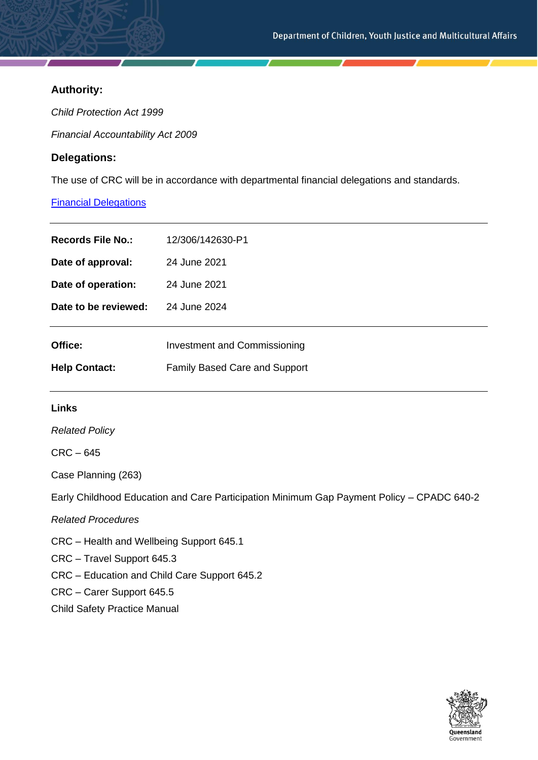# **Authority:**

*Child Protection Act 1999*

*Financial Accountability Act 2009*

# **Delegations:**

The use of CRC will be in accordance with departmental financial delegations and standards.

# [Financial Delegations](https://cyjmaintranet.root.internal/finance-procurement/financial-delegations)

| Records File No.:    | 12/306/142630-P1                     |
|----------------------|--------------------------------------|
| Date of approval:    | 24 June 2021                         |
| Date of operation:   | 24 June 2021                         |
| Date to be reviewed: | 24 June 2024                         |
| Office:              | Investment and Commissioning         |
| <b>Help Contact:</b> | <b>Family Based Care and Support</b> |

# **Links**

*Related Policy*

# CRC – 645

Case Planning (263)

Early Childhood Education and Care Participation Minimum Gap Payment Policy – CPADC 640-2

*Related Procedures*

CRC – Health and Wellbeing Support 645.1

CRC – Travel Support 645.3

CRC – Education and Child Care Support 645.2

CRC – Carer Support 645.5

Child Safety Practice Manual